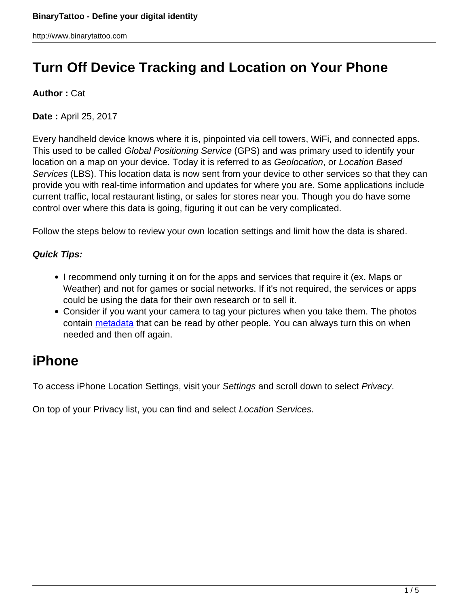# **Turn Off Device Tracking and Location on Your Phone**

### **Author :** Cat

**Date :** April 25, 2017

Every handheld device knows where it is, pinpointed via cell towers, WiFi, and connected apps. This used to be called Global Positioning Service (GPS) and was primary used to identify your location on a map on your device. Today it is referred to as Geolocation, or Location Based Services (LBS). This location data is now sent from your device to other services so that they can provide you with real-time information and updates for where you are. Some applications include current traffic, local restaurant listing, or sales for stores near you. Though you do have some control over where this data is going, figuring it out can be very complicated.

Follow the steps below to review your own location settings and limit how the data is shared.

### **Quick Tips:**

- I recommend only turning it on for the apps and services that require it (ex. Maps or Weather) and not for games or social networks. If it's not required, the services or apps could be using the data for their own research or to sell it.
- Consider if you want your camera to tag your pictures when you take them. The photos contain [metadata](http://www.binarytattoo.com/the-secret-life-of-metadata/) that can be read by other people. You can always turn this on when needed and then off again.

# **iPhone**

To access iPhone Location Settings, visit your Settings and scroll down to select Privacy.

On top of your Privacy list, you can find and select Location Services.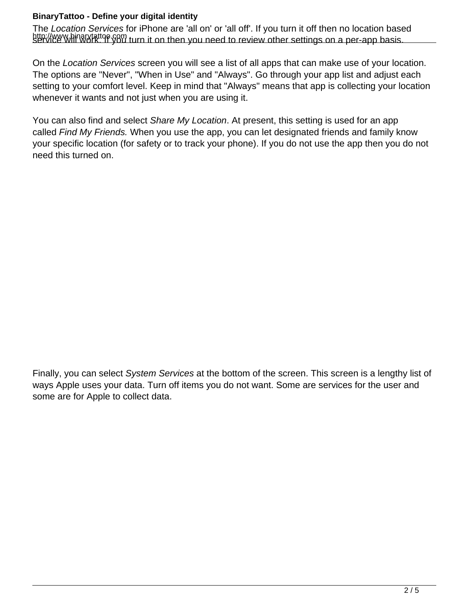#### **BinaryTattoo - Define your digital identity**

http://www.binarytattoo.com<br>service will work. If you turn it on then you need to review other settings on a per-app basis. The Location Services for iPhone are 'all on' or 'all off'. If you turn it off then no location based

On the Location Services screen you will see a list of all apps that can make use of your location. The options are "Never", "When in Use" and "Always". Go through your app list and adjust each setting to your comfort level. Keep in mind that "Always" means that app is collecting your location whenever it wants and not just when you are using it.

You can also find and select Share My Location. At present, this setting is used for an app called Find My Friends. When you use the app, you can let designated friends and family know your specific location (for safety or to track your phone). If you do not use the app then you do not need this turned on.

Finally, you can select System Services at the bottom of the screen. This screen is a lengthy list of ways Apple uses your data. Turn off items you do not want. Some are services for the user and some are for Apple to collect data.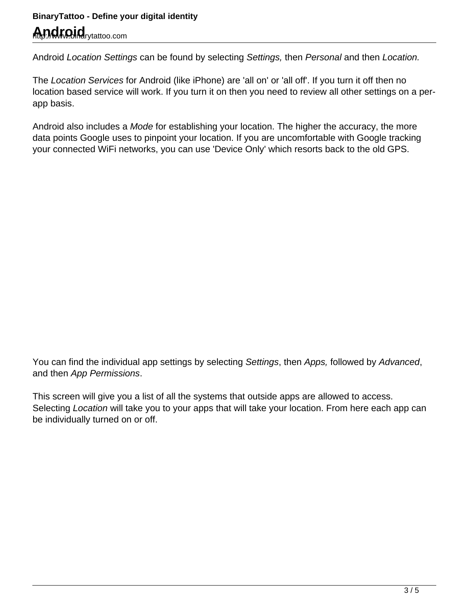# **BinaryTattoo - Define your digital identity Android**rytattoo.com

Android Location Settings can be found by selecting Settings, then Personal and then Location.

The Location Services for Android (like iPhone) are 'all on' or 'all off'. If you turn it off then no location based service will work. If you turn it on then you need to review all other settings on a perapp basis.

Android also includes a Mode for establishing your location. The higher the accuracy, the more data points Google uses to pinpoint your location. If you are uncomfortable with Google tracking your connected WiFi networks, you can use 'Device Only' which resorts back to the old GPS.

You can find the individual app settings by selecting Settings, then Apps, followed by Advanced, and then App Permissions.

This screen will give you a list of all the systems that outside apps are allowed to access. Selecting Location will take you to your apps that will take your location. From here each app can be individually turned on or off.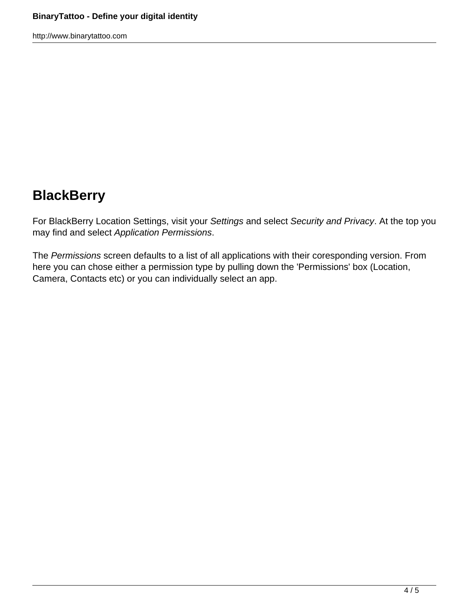http://www.binarytattoo.com

# **BlackBerry**

For BlackBerry Location Settings, visit your Settings and select Security and Privacy. At the top you may find and select Application Permissions.

The Permissions screen defaults to a list of all applications with their coresponding version. From here you can chose either a permission type by pulling down the 'Permissions' box (Location, Camera, Contacts etc) or you can individually select an app.